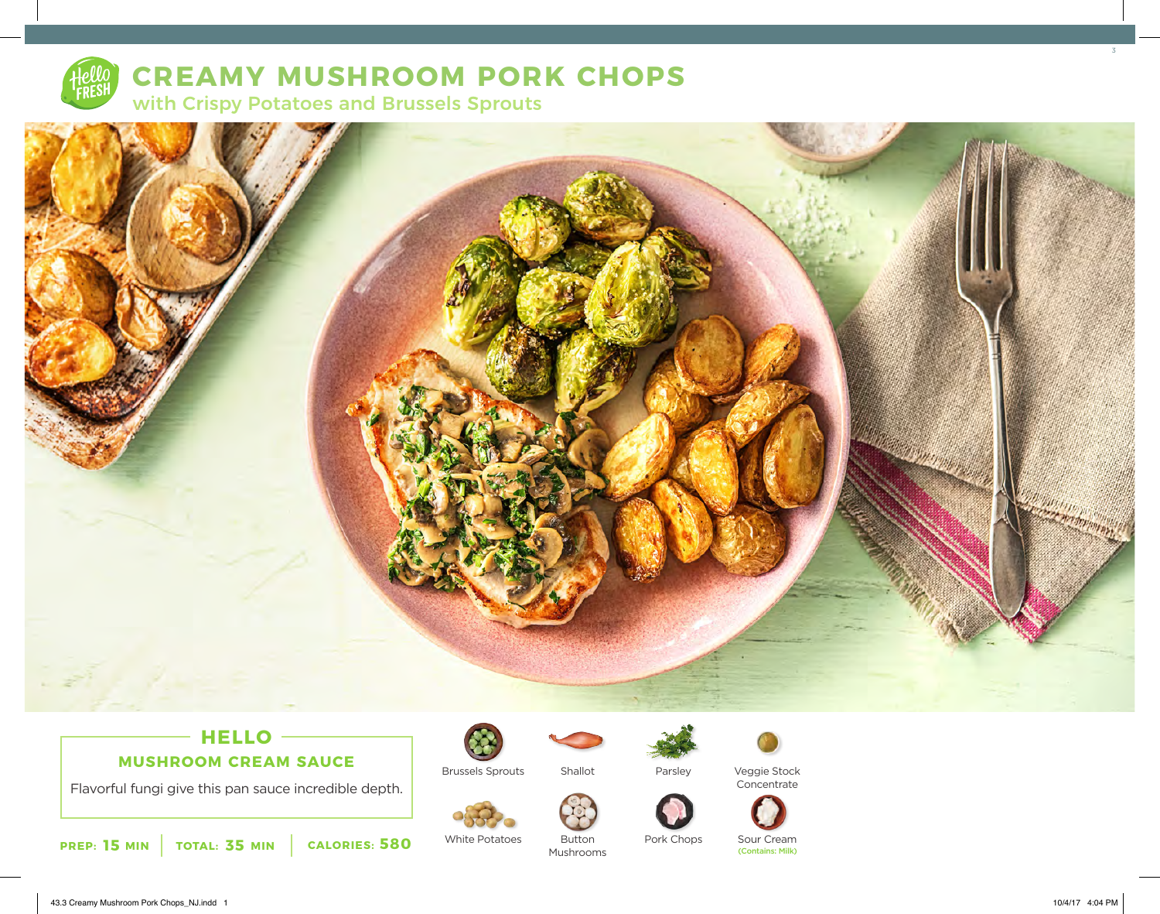

# **CREAMY MUSHROOM PORK CHOPS**

with Crispy Potatoes and Brussels Sprouts



## **HELLO MUSHROOM CREAM SAUCE**

Flavorful fungi give this pan sauce incredible depth.



White Potatoes

Brussels Sprouts



Button Mushrooms

Shallot

Parsley

Pork Chops



Veggie Stock Concentrate





Sour Cream<br>(Contains: Milk)

3